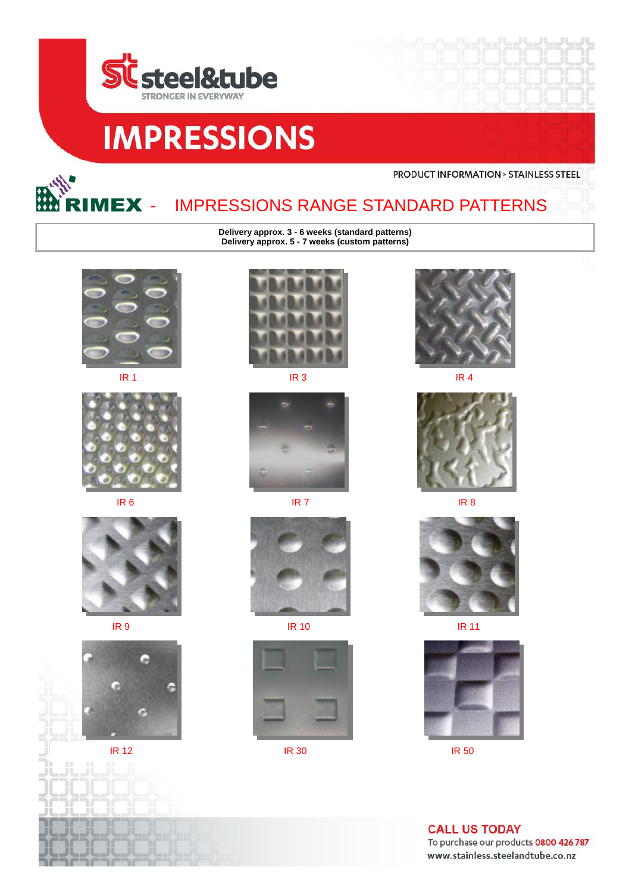





## IMPRESSIONS RANGE STANDARD PATTERNS

**Delivery approx. 3 - 6 weeks (standard patterns) Delivery approx. 5 - 7 weeks (custom patterns)**





















**PRODUCT INFORMATION > STAINLESS STEEL** 





**IR 9 IR 10** IR 10 **IR 10** IR 10



**IR 12** IR 30 **IR 30** IR 50

**CALL US TODAY** To purchase our products 0800 426 787 www.stainless.steelandtube.co.nz